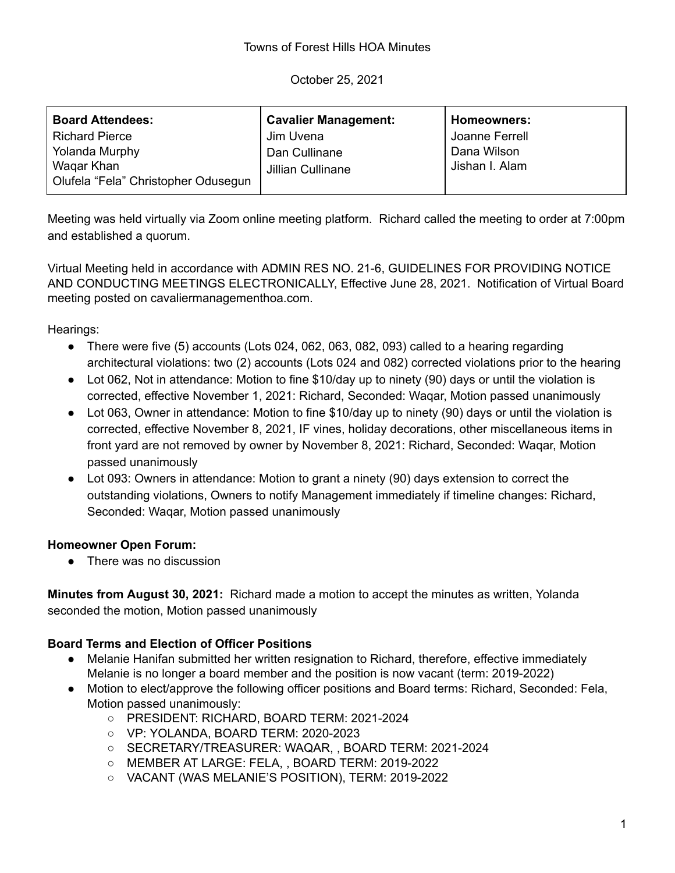October 25, 2021

| <b>Board Attendees:</b>             | <b>Cavalier Management:</b> | Homeowners:    |
|-------------------------------------|-----------------------------|----------------|
| <b>Richard Pierce</b>               | Jim Uvena                   | Joanne Ferrell |
| Yolanda Murphy                      | Dan Cullinane               | Dana Wilson    |
| Wagar Khan                          | Jillian Cullinane           | Jishan I. Alam |
| Olufela "Fela" Christopher Odusegun |                             |                |

Meeting was held virtually via Zoom online meeting platform. Richard called the meeting to order at 7:00pm and established a quorum.

Virtual Meeting held in accordance with ADMIN RES NO. 21-6, GUIDELINES FOR PROVIDING NOTICE AND CONDUCTING MEETINGS ELECTRONICALLY, Effective June 28, 2021. Notification of Virtual Board meeting posted on cavaliermanagementhoa.com.

Hearings:

- There were five  $(5)$  accounts (Lots 024, 062, 063, 082, 093) called to a hearing regarding architectural violations: two (2) accounts (Lots 024 and 082) corrected violations prior to the hearing
- Lot 062, Not in attendance: Motion to fine \$10/day up to ninety (90) days or until the violation is corrected, effective November 1, 2021: Richard, Seconded: Waqar, Motion passed unanimously
- Lot 063, Owner in attendance: Motion to fine \$10/day up to ninety (90) days or until the violation is corrected, effective November 8, 2021, IF vines, holiday decorations, other miscellaneous items in front yard are not removed by owner by November 8, 2021: Richard, Seconded: Waqar, Motion passed unanimously
- Lot 093: Owners in attendance: Motion to grant a ninety (90) days extension to correct the outstanding violations, Owners to notify Management immediately if timeline changes: Richard, Seconded: Waqar, Motion passed unanimously

## **Homeowner Open Forum:**

• There was no discussion

**Minutes from August 30, 2021:** Richard made a motion to accept the minutes as written, Yolanda seconded the motion, Motion passed unanimously

## **Board Terms and Election of Officer Positions**

- Melanie Hanifan submitted her written resignation to Richard, therefore, effective immediately Melanie is no longer a board member and the position is now vacant (term: 2019-2022)
- Motion to elect/approve the following officer positions and Board terms: Richard, Seconded: Fela, Motion passed unanimously:
	- PRESIDENT: RICHARD, BOARD TERM: 2021-2024
	- VP: YOLANDA, BOARD TERM: 2020-2023
	- SECRETARY/TREASURER: WAQAR, , BOARD TERM: 2021-2024
	- MEMBER AT LARGE: FELA, , BOARD TERM: 2019-2022
	- VACANT (WAS MELANIE'S POSITION), TERM: 2019-2022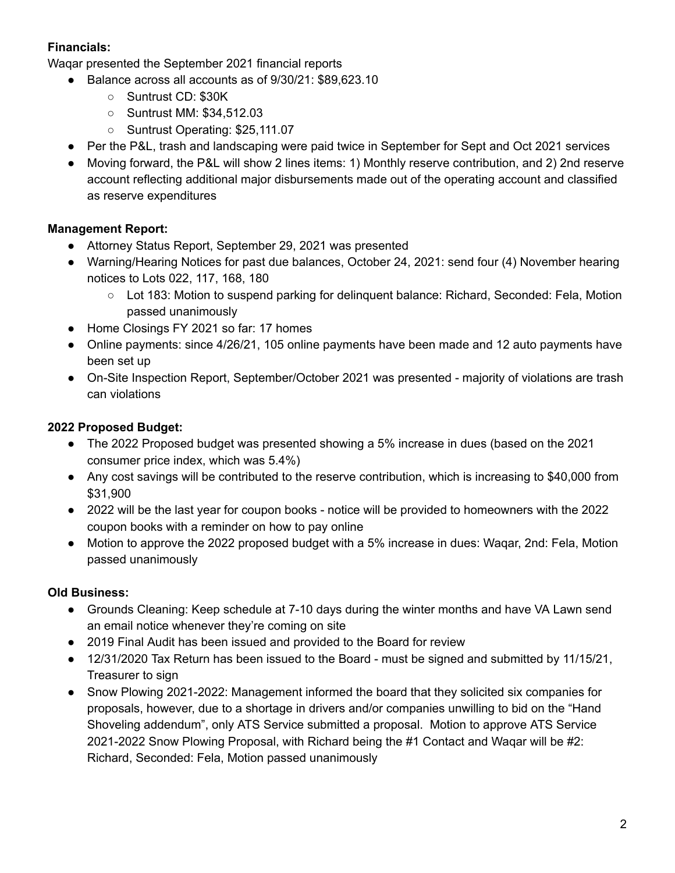## **Financials:**

Waqar presented the September 2021 financial reports

- Balance across all accounts as of 9/30/21: \$89,623.10
	- Suntrust CD: \$30K
	- Suntrust MM: \$34,512.03
	- Suntrust Operating: \$25,111.07
- Per the P&L, trash and landscaping were paid twice in September for Sept and Oct 2021 services
- Moving forward, the P&L will show 2 lines items: 1) Monthly reserve contribution, and 2) 2nd reserve account reflecting additional major disbursements made out of the operating account and classified as reserve expenditures

## **Management Report:**

- Attorney Status Report, September 29, 2021 was presented
- Warning/Hearing Notices for past due balances, October 24, 2021: send four (4) November hearing notices to Lots 022, 117, 168, 180
	- Lot 183: Motion to suspend parking for delinquent balance: Richard, Seconded: Fela, Motion passed unanimously
- Home Closings FY 2021 so far: 17 homes
- Online payments: since 4/26/21, 105 online payments have been made and 12 auto payments have been set up
- On-Site Inspection Report, September/October 2021 was presented majority of violations are trash can violations

# **2022 Proposed Budget:**

- The 2022 Proposed budget was presented showing a 5% increase in dues (based on the 2021 consumer price index, which was 5.4%)
- Any cost savings will be contributed to the reserve contribution, which is increasing to \$40,000 from \$31,900
- 2022 will be the last year for coupon books notice will be provided to homeowners with the 2022 coupon books with a reminder on how to pay online
- Motion to approve the 2022 proposed budget with a 5% increase in dues: Wagar, 2nd: Fela, Motion passed unanimously

## **Old Business:**

- Grounds Cleaning: Keep schedule at 7-10 days during the winter months and have VA Lawn send an email notice whenever they're coming on site
- 2019 Final Audit has been issued and provided to the Board for review
- 12/31/2020 Tax Return has been issued to the Board must be signed and submitted by 11/15/21, Treasurer to sign
- Snow Plowing 2021-2022: Management informed the board that they solicited six companies for proposals, however, due to a shortage in drivers and/or companies unwilling to bid on the "Hand Shoveling addendum", only ATS Service submitted a proposal. Motion to approve ATS Service 2021-2022 Snow Plowing Proposal, with Richard being the #1 Contact and Waqar will be #2: Richard, Seconded: Fela, Motion passed unanimously